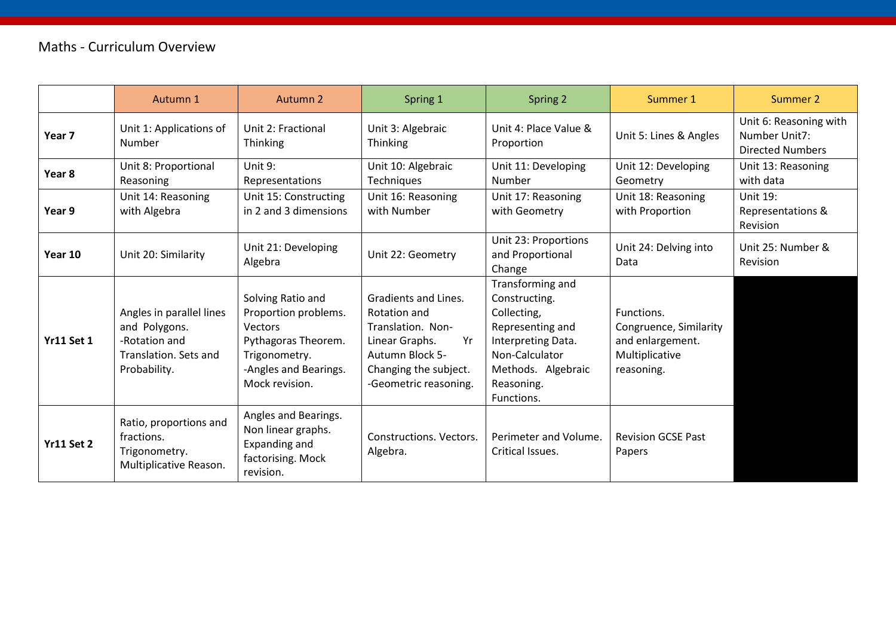|                   | Autumn 1                                                                                            | Autumn 2                                                                                                                                | Spring 1                                                                                                                                                      | Spring 2                                                                                                                                                       | Summer 1                                                                                 | Summer 2                                                           |
|-------------------|-----------------------------------------------------------------------------------------------------|-----------------------------------------------------------------------------------------------------------------------------------------|---------------------------------------------------------------------------------------------------------------------------------------------------------------|----------------------------------------------------------------------------------------------------------------------------------------------------------------|------------------------------------------------------------------------------------------|--------------------------------------------------------------------|
| Year <sub>7</sub> | Unit 1: Applications of<br>Number                                                                   | Unit 2: Fractional<br>Thinking                                                                                                          | Unit 3: Algebraic<br><b>Thinking</b>                                                                                                                          | Unit 4: Place Value &<br>Proportion                                                                                                                            | Unit 5: Lines & Angles                                                                   | Unit 6: Reasoning with<br>Number Unit7:<br><b>Directed Numbers</b> |
| Year 8            | Unit 8: Proportional<br>Reasoning                                                                   | Unit 9:<br>Representations                                                                                                              | Unit 10: Algebraic<br><b>Techniques</b>                                                                                                                       | Unit 11: Developing<br>Number                                                                                                                                  | Unit 12: Developing<br>Geometry                                                          | Unit 13: Reasoning<br>with data                                    |
| Year 9            | Unit 14: Reasoning<br>with Algebra                                                                  | Unit 15: Constructing<br>in 2 and 3 dimensions                                                                                          | Unit 16: Reasoning<br>with Number                                                                                                                             | Unit 17: Reasoning<br>with Geometry                                                                                                                            | Unit 18: Reasoning<br>with Proportion                                                    | Unit 19:<br>Representations &<br>Revision                          |
| Year 10           | Unit 20: Similarity                                                                                 | Unit 21: Developing<br>Algebra                                                                                                          | Unit 22: Geometry                                                                                                                                             | Unit 23: Proportions<br>and Proportional<br>Change                                                                                                             | Unit 24: Delving into<br>Data                                                            | Unit 25: Number &<br><b>Revision</b>                               |
| <b>Yr11 Set 1</b> | Angles in parallel lines<br>and Polygons.<br>-Rotation and<br>Translation. Sets and<br>Probability. | Solving Ratio and<br>Proportion problems.<br>Vectors<br>Pythagoras Theorem.<br>Trigonometry.<br>-Angles and Bearings.<br>Mock revision. | Gradients and Lines.<br>Rotation and<br>Translation. Non-<br>Linear Graphs.<br>Yr<br><b>Autumn Block 5-</b><br>Changing the subject.<br>-Geometric reasoning. | Transforming and<br>Constructing.<br>Collecting,<br>Representing and<br>Interpreting Data.<br>Non-Calculator<br>Methods. Algebraic<br>Reasoning.<br>Functions. | Functions.<br>Congruence, Similarity<br>and enlargement.<br>Multiplicative<br>reasoning. |                                                                    |
| <b>Yr11 Set 2</b> | Ratio, proportions and<br>fractions.<br>Trigonometry.<br>Multiplicative Reason.                     | Angles and Bearings.<br>Non linear graphs.<br>Expanding and<br>factorising. Mock<br>revision.                                           | Constructions. Vectors.<br>Algebra.                                                                                                                           | Perimeter and Volume.<br>Critical Issues.                                                                                                                      | <b>Revision GCSE Past</b><br>Papers                                                      |                                                                    |